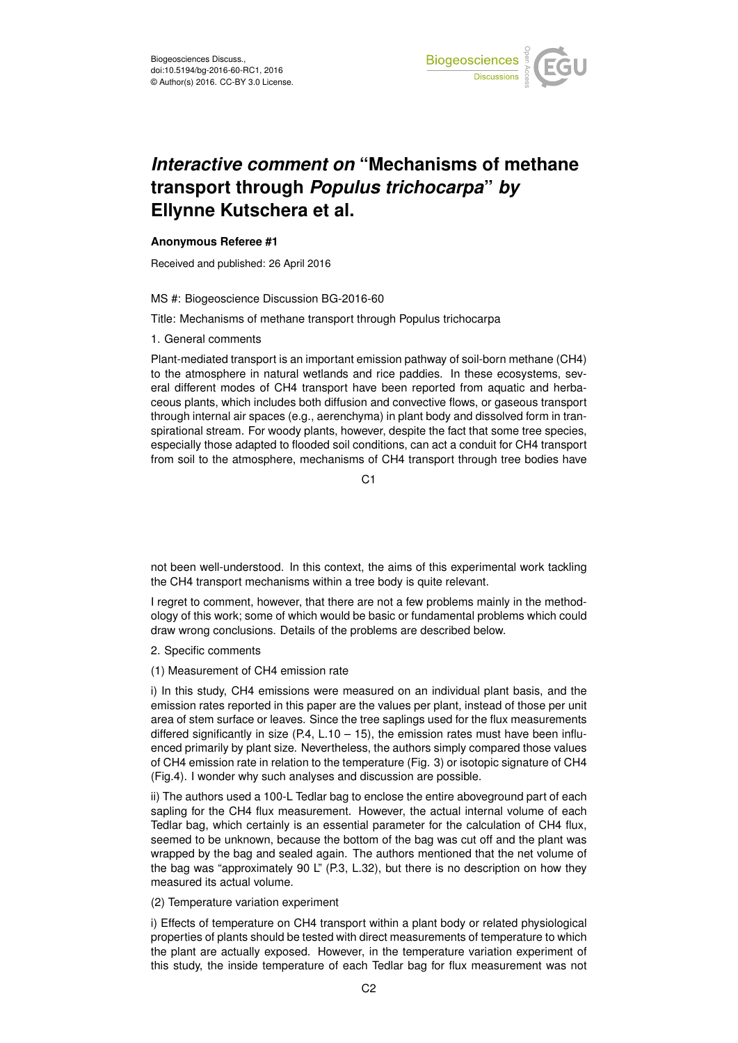

## *Interactive comment on* **"Mechanisms of methane transport through** *Populus trichocarpa***"** *by* **Ellynne Kutschera et al.**

## **Anonymous Referee #1**

Received and published: 26 April 2016

## MS #: Biogeoscience Discussion BG-2016-60

Title: Mechanisms of methane transport through Populus trichocarpa

1. General comments

Plant-mediated transport is an important emission pathway of soil-born methane (CH4) to the atmosphere in natural wetlands and rice paddies. In these ecosystems, several different modes of CH4 transport have been reported from aquatic and herbaceous plants, which includes both diffusion and convective flows, or gaseous transport through internal air spaces (e.g., aerenchyma) in plant body and dissolved form in transpirational stream. For woody plants, however, despite the fact that some tree species, especially those adapted to flooded soil conditions, can act a conduit for CH4 transport from soil to the atmosphere, mechanisms of CH4 transport through tree bodies have

C<sub>1</sub>

not been well-understood. In this context, the aims of this experimental work tackling the CH4 transport mechanisms within a tree body is quite relevant.

I regret to comment, however, that there are not a few problems mainly in the methodology of this work; some of which would be basic or fundamental problems which could draw wrong conclusions. Details of the problems are described below.

2. Specific comments

(1) Measurement of CH4 emission rate

i) In this study, CH4 emissions were measured on an individual plant basis, and the emission rates reported in this paper are the values per plant, instead of those per unit area of stem surface or leaves. Since the tree saplings used for the flux measurements differed significantly in size  $(P.4, L.10 - 15)$ , the emission rates must have been influenced primarily by plant size. Nevertheless, the authors simply compared those values of CH4 emission rate in relation to the temperature (Fig. 3) or isotopic signature of CH4 (Fig.4). I wonder why such analyses and discussion are possible.

ii) The authors used a 100-L Tedlar bag to enclose the entire aboveground part of each sapling for the CH4 flux measurement. However, the actual internal volume of each Tedlar bag, which certainly is an essential parameter for the calculation of CH4 flux, seemed to be unknown, because the bottom of the bag was cut off and the plant was wrapped by the bag and sealed again. The authors mentioned that the net volume of the bag was "approximately 90 L" (P.3, L.32), but there is no description on how they measured its actual volume.

(2) Temperature variation experiment

i) Effects of temperature on CH4 transport within a plant body or related physiological properties of plants should be tested with direct measurements of temperature to which the plant are actually exposed. However, in the temperature variation experiment of this study, the inside temperature of each Tedlar bag for flux measurement was not